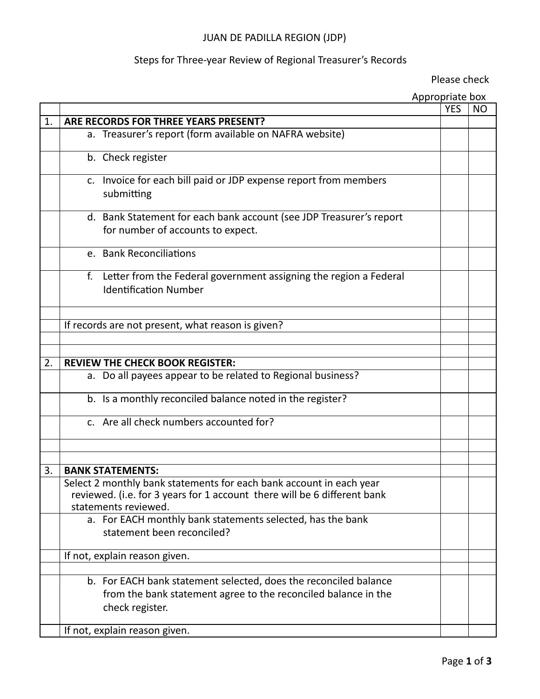# JUAN DE PADILLA REGION (JDP)

# Steps for Three-year Review of Regional Treasurer's Records

Please check

|    |                                                                                                                                                                         | Appropriate box |     |     |
|----|-------------------------------------------------------------------------------------------------------------------------------------------------------------------------|-----------------|-----|-----|
|    |                                                                                                                                                                         |                 | YES | NO. |
| 1. | ARE RECORDS FOR THREE YEARS PRESENT?                                                                                                                                    |                 |     |     |
|    | a. Treasurer's report (form available on NAFRA website)                                                                                                                 |                 |     |     |
|    | b. Check register                                                                                                                                                       |                 |     |     |
|    | c. Invoice for each bill paid or JDP expense report from members<br>submitting                                                                                          |                 |     |     |
|    | d. Bank Statement for each bank account (see JDP Treasurer's report<br>for number of accounts to expect.                                                                |                 |     |     |
|    | e. Bank Reconciliations                                                                                                                                                 |                 |     |     |
|    | Letter from the Federal government assigning the region a Federal<br>f.<br><b>Identification Number</b>                                                                 |                 |     |     |
|    |                                                                                                                                                                         |                 |     |     |
|    | If records are not present, what reason is given?                                                                                                                       |                 |     |     |
|    |                                                                                                                                                                         |                 |     |     |
| 2. | <b>REVIEW THE CHECK BOOK REGISTER:</b>                                                                                                                                  |                 |     |     |
|    | a. Do all payees appear to be related to Regional business?                                                                                                             |                 |     |     |
|    |                                                                                                                                                                         |                 |     |     |
|    | b. Is a monthly reconciled balance noted in the register?                                                                                                               |                 |     |     |
|    | c. Are all check numbers accounted for?                                                                                                                                 |                 |     |     |
|    |                                                                                                                                                                         |                 |     |     |
|    |                                                                                                                                                                         |                 |     |     |
| 3. | <b>BANK STATEMENTS:</b>                                                                                                                                                 |                 |     |     |
|    | Select 2 monthly bank statements for each bank account in each year<br>reviewed. (i.e. for 3 years for 1 account there will be 6 different bank<br>statements reviewed. |                 |     |     |
|    | a. For EACH monthly bank statements selected, has the bank                                                                                                              |                 |     |     |
|    | statement been reconciled?                                                                                                                                              |                 |     |     |
|    | If not, explain reason given.                                                                                                                                           |                 |     |     |
|    |                                                                                                                                                                         |                 |     |     |
|    | b. For EACH bank statement selected, does the reconciled balance<br>from the bank statement agree to the reconciled balance in the<br>check register.                   |                 |     |     |
|    | If not, explain reason given.                                                                                                                                           |                 |     |     |
|    |                                                                                                                                                                         |                 |     |     |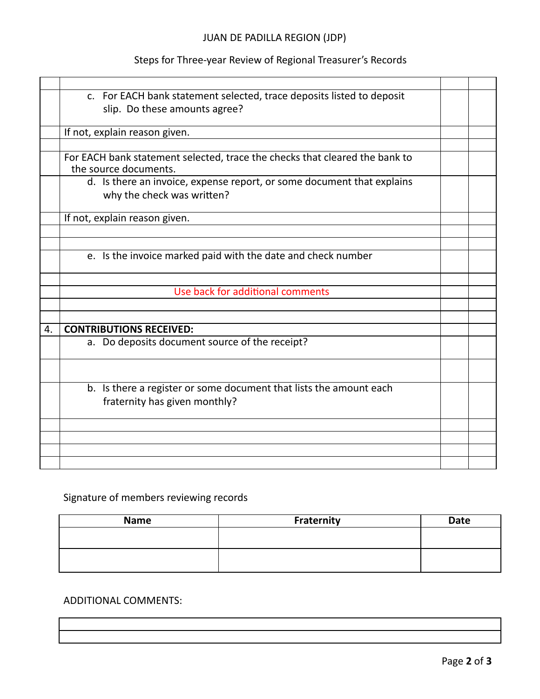# JUAN DE PADILLA REGION (JDP)

# Steps for Three-year Review of Regional Treasurer's Records

|    | c. For EACH bank statement selected, trace deposits listed to deposit       |  |
|----|-----------------------------------------------------------------------------|--|
|    | slip. Do these amounts agree?                                               |  |
|    |                                                                             |  |
|    | If not, explain reason given.                                               |  |
|    |                                                                             |  |
|    | For EACH bank statement selected, trace the checks that cleared the bank to |  |
|    | the source documents.                                                       |  |
|    | d. Is there an invoice, expense report, or some document that explains      |  |
|    | why the check was written?                                                  |  |
|    |                                                                             |  |
|    | If not, explain reason given.                                               |  |
|    |                                                                             |  |
|    |                                                                             |  |
|    | e. Is the invoice marked paid with the date and check number                |  |
|    |                                                                             |  |
|    |                                                                             |  |
|    | Use back for additional comments                                            |  |
|    |                                                                             |  |
|    |                                                                             |  |
| 4. | <b>CONTRIBUTIONS RECEIVED:</b>                                              |  |
|    | a. Do deposits document source of the receipt?                              |  |
|    |                                                                             |  |
|    |                                                                             |  |
|    |                                                                             |  |
|    | b. Is there a register or some document that lists the amount each          |  |
|    | fraternity has given monthly?                                               |  |
|    |                                                                             |  |
|    |                                                                             |  |
|    |                                                                             |  |
|    |                                                                             |  |
|    |                                                                             |  |

# Signature of members reviewing records

| <b>Name</b> | Fraternity | <b>Date</b> |
|-------------|------------|-------------|
|             |            |             |
|             |            |             |
|             |            |             |
|             |            |             |

### ADDITIONAL COMMENTS: